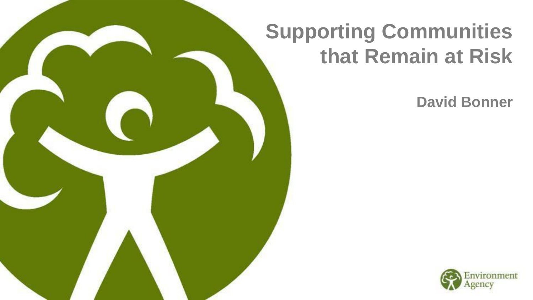## **Supporting Communities that Remain at Risk**

**David Bonner** 

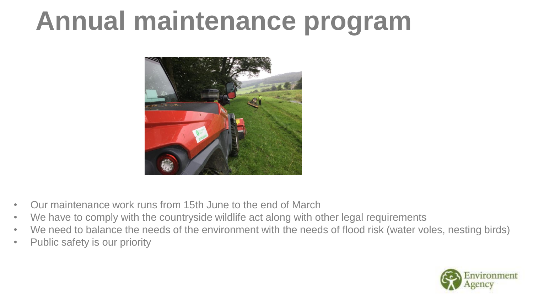## **Annual maintenance program**



- Our maintenance work runs from 15th June to the end of March
- We have to comply with the countryside wildlife act along with other legal requirements
- We need to balance the needs of the environment with the needs of flood risk (water voles, nesting birds)
- Public safety is our priority

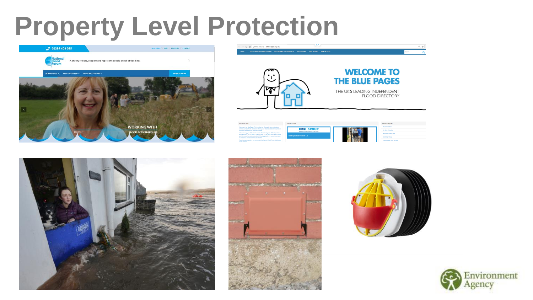## **Property Level Protection**





|  | EIFORTAAT INFO                                                                                                                                                                                                                                                                                                                                                                                                                                                                                                                                  | Featured Listings                   |                                                                                                               |  |
|--|-------------------------------------------------------------------------------------------------------------------------------------------------------------------------------------------------------------------------------------------------------------------------------------------------------------------------------------------------------------------------------------------------------------------------------------------------------------------------------------------------------------------------------------------------|-------------------------------------|---------------------------------------------------------------------------------------------------------------|--|
|  | Vieicame to the Silve Pages. This is a directory of property fixed products and<br>explore glub to addition to addition and information of what's available to help reduce<br>the risk of financing to your home or business.<br>In the directory you will be able to search different categories of flood products<br>and remices. At the top of each category page you will find a short description of<br>what the product or seniore should do. Where applicable, the relevant standards.<br>or criticia that should be met a situbated and | <b>IIBSI GROUP</b>                  | Accommodation<br>Air Drivis Penterlines<br>A down Fred Door<br>Cleaning / Draing<br>Democrásile Flood Seriers |  |
|  |                                                                                                                                                                                                                                                                                                                                                                                                                                                                                                                                                 | WWW. MICHAELMERHAMON OCTU .CO. LIS  |                                                                                                               |  |
|  |                                                                                                                                                                                                                                                                                                                                                                                                                                                                                                                                                 | <b>IBS Engineered Products Ltd.</b> |                                                                                                               |  |
|  |                                                                                                                                                                                                                                                                                                                                                                                                                                                                                                                                                 |                                     |                                                                                                               |  |
|  | If you have any questions you can contact the hadrosal Flood Forum Helpine on<br><b>CHINA MONEY</b>                                                                                                                                                                                                                                                                                                                                                                                                                                             |                                     |                                                                                                               |  |





> C Q © Not secure | bluepages.org.u



0. ☆

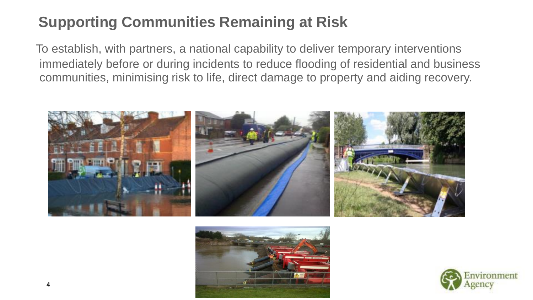#### **Supporting Communities Remaining at Risk**

To establish, with partners, a national capability to deliver temporary interventions immediately before or during incidents to reduce flooding of residential and business communities, minimising risk to life, direct damage to property and aiding recovery.





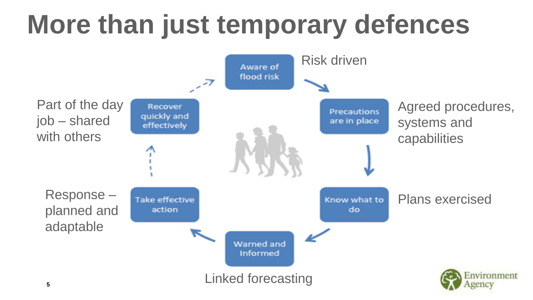# **More than just temporary defences**

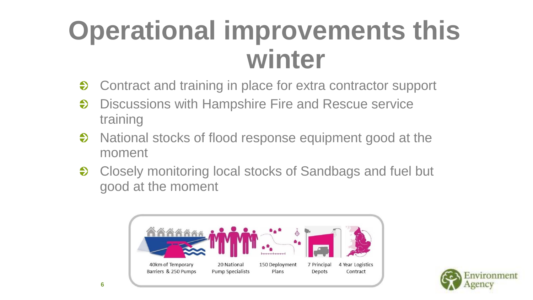# **Operational improvements this winter**

- Contract and training in place for extra contractor support  $\bigodot$
- $\ddot{\bullet}$ Discussions with Hampshire Fire and Rescue service training
- National stocks of flood response equipment good at the  $\clubsuit$ moment
- Closely monitoring local stocks of Sandbags and fuel but  $\clubsuit$ good at the moment



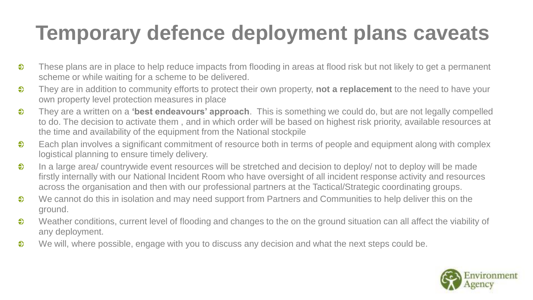### **Temporary defence deployment plans caveats**

- $\ddot{\bullet}$ These plans are in place to help reduce impacts from flooding in areas at flood risk but not likely to get a permanent scheme or while waiting for a scheme to be delivered.
- $\bullet$ They are in addition to community efforts to protect their own property, **not a replacement** to the need to have your own property level protection measures in place
- $\ddot{\bullet}$ They are a written on a **'best endeavours' approach**. This is something we could do, but are not legally compelled to do. The decision to activate them , and in which order will be based on highest risk priority, available resources at the time and availability of the equipment from the National stockpile
- $\bullet$ Each plan involves a significant commitment of resource both in terms of people and equipment along with complex logistical planning to ensure timely delivery.
- $\ddot{\bullet}$ In a large area/ countrywide event resources will be stretched and decision to deploy/ not to deploy will be made firstly internally with our National Incident Room who have oversight of all incident response activity and resources across the organisation and then with our professional partners at the Tactical/Strategic coordinating groups.
- We cannot do this in isolation and may need support from Partners and Communities to help deliver this on the  $\ddot{\bullet}$ ground.
- $\bullet$ Weather conditions, current level of flooding and changes to the on the ground situation can all affect the viability of any deployment.
- $\ddot{\bullet}$ We will, where possible, engage with you to discuss any decision and what the next steps could be.

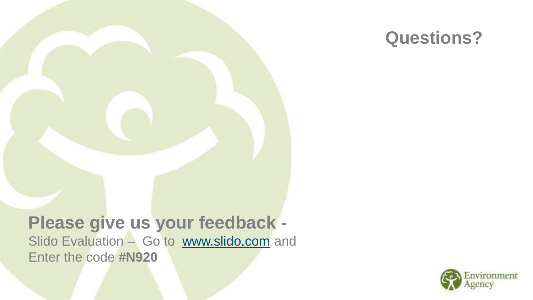

#### **Please give us your feedback**  Slido Evaluation – Go to [www.slido.com](http://www.slido.com/) and Enter the code **#N920**